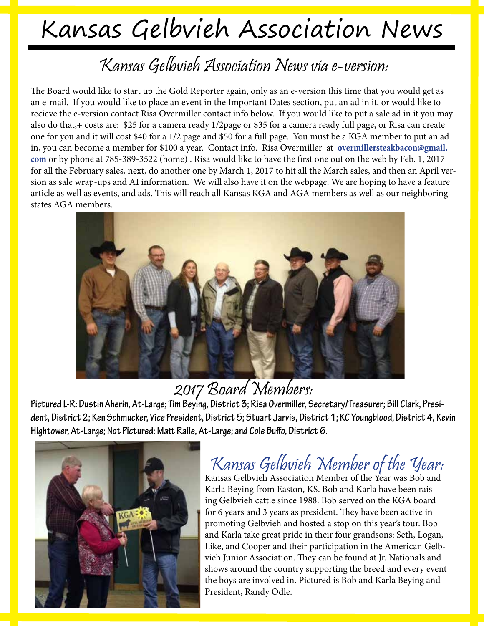# Kansas Gelbvieh Association News

#### Kansas Gelbvieh Association News via e-version:

The Board would like to start up the Gold Reporter again, only as an e-version this time that you would get as an e-mail. If you would like to place an event in the Important Dates section, put an ad in it, or would like to recieve the e-version contact Risa Overmiller contact info below. If you would like to put a sale ad in it you may also do that,+ costs are: \$25 for a camera ready 1/2page or \$35 for a camera ready full page, or Risa can create one for you and it will cost \$40 for a 1/2 page and \$50 for a full page. You must be a KGA member to put an ad in, you can become a member for \$100 a year. Contact info. Risa Overmiller at **overmillersteakbacon@gmail. com** or by phone at 785-389-3522 (home) . Risa would like to have the first one out on the web by Feb. 1, 2017 for all the February sales, next, do another one by March 1, 2017 to hit all the March sales, and then an April version as sale wrap-ups and AI information. We will also have it on the webpage. We are hoping to have a feature article as well as events, and ads. This will reach all Kansas KGA and AGA members as well as our neighboring states AGA members.



2017 Board Members;<br>Pictured L-R: Dustin Aherin, At-Large; Tim Beying, District 3; Risa Overmiller, Secretary/Treasurer; Bill Clark, Presi**dent, District 2; Ken Schmucker, Vice President, District 5; Stuart Jarvis, District 1; KC Youngblood, District 4, Kevin Hightower, At-Large; Not Pictured: Matt Raile, At-Large; and Cole Buffo, District 6.** 



### Kansas Gelbvieh Member of the Year:

Kansas Gelbvieh Association Member of the Year was Bob and Karla Beying from Easton, KS. Bob and Karla have been raising Gelbvieh cattle since 1988. Bob served on the KGA board for 6 years and 3 years as president. They have been active in promoting Gelbvieh and hosted a stop on this year's tour. Bob and Karla take great pride in their four grandsons: Seth, Logan, Like, and Cooper and their participation in the American Gelbvieh Junior Association. They can be found at Jr. Nationals and shows around the country supporting the breed and every event the boys are involved in. Pictured is Bob and Karla Beying and President, Randy Odle.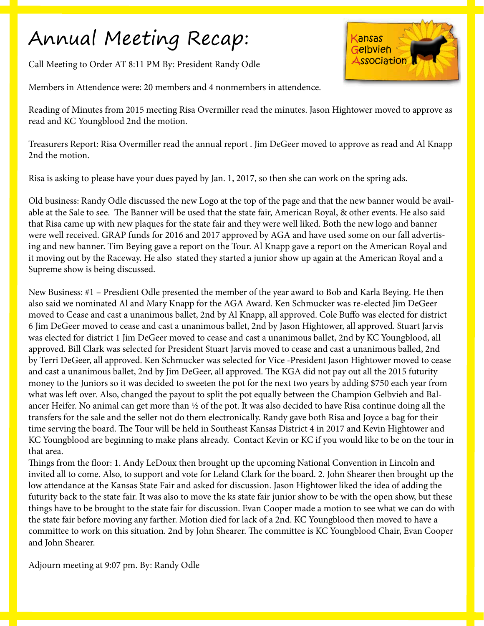## Annual Meeting Recap:

Call Meeting to Order AT 8:11 PM By: President Randy Odle





Reading of Minutes from 2015 meeting Risa Overmiller read the minutes. Jason Hightower moved to approve as read and KC Youngblood 2nd the motion.

Treasurers Report: Risa Overmiller read the annual report . Jim DeGeer moved to approve as read and Al Knapp 2nd the motion.

Risa is asking to please have your dues payed by Jan. 1, 2017, so then she can work on the spring ads.

Old business: Randy Odle discussed the new Logo at the top of the page and that the new banner would be available at the Sale to see. The Banner will be used that the state fair, American Royal, & other events. He also said that Risa came up with new plaques for the state fair and they were well liked. Both the new logo and banner were well received. GRAP funds for 2016 and 2017 approved by AGA and have used some on our fall advertising and new banner. Tim Beying gave a report on the Tour. Al Knapp gave a report on the American Royal and it moving out by the Raceway. He also stated they started a junior show up again at the American Royal and a Supreme show is being discussed.

New Business: #1 – Presdient Odle presented the member of the year award to Bob and Karla Beying. He then also said we nominated Al and Mary Knapp for the AGA Award. Ken Schmucker was re-elected Jim DeGeer moved to Cease and cast a unanimous ballet, 2nd by Al Knapp, all approved. Cole Buffo was elected for district 6 Jim DeGeer moved to cease and cast a unanimous ballet, 2nd by Jason Hightower, all approved. Stuart Jarvis was elected for district 1 Jim DeGeer moved to cease and cast a unanimous ballet, 2nd by KC Youngblood, all approved. Bill Clark was selected for President Stuart Jarvis moved to cease and cast a unanimous balled, 2nd by Terri DeGeer, all approved. Ken Schmucker was selected for Vice -President Jason Hightower moved to cease and cast a unanimous ballet, 2nd by Jim DeGeer, all approved. The KGA did not pay out all the 2015 futurity money to the Juniors so it was decided to sweeten the pot for the next two years by adding \$750 each year from what was left over. Also, changed the payout to split the pot equally between the Champion Gelbvieh and Balancer Heifer. No animal can get more than ½ of the pot. It was also decided to have Risa continue doing all the transfers for the sale and the seller not do them electronically. Randy gave both Risa and Joyce a bag for their time serving the board. The Tour will be held in Southeast Kansas District 4 in 2017 and Kevin Hightower and KC Youngblood are beginning to make plans already. Contact Kevin or KC if you would like to be on the tour in that area.

Things from the floor: 1. Andy LeDoux then brought up the upcoming National Convention in Lincoln and invited all to come. Also, to support and vote for Leland Clark for the board. 2. John Shearer then brought up the low attendance at the Kansas State Fair and asked for discussion. Jason Hightower liked the idea of adding the futurity back to the state fair. It was also to move the ks state fair junior show to be with the open show, but these things have to be brought to the state fair for discussion. Evan Cooper made a motion to see what we can do with the state fair before moving any farther. Motion died for lack of a 2nd. KC Youngblood then moved to have a committee to work on this situation. 2nd by John Shearer. The committee is KC Youngblood Chair, Evan Cooper and John Shearer.

Adjourn meeting at 9:07 pm. By: Randy Odle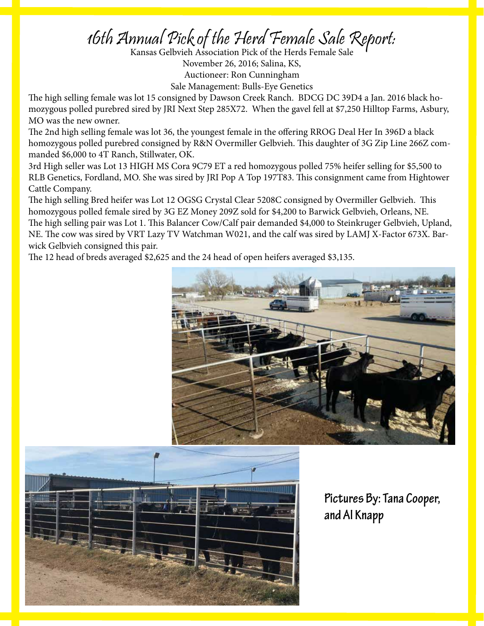# 16th Annual Pick of the Herd Female Sale Report:<br>Kansas Gelbvieh Association Pick of the Herds Female Sale

November 26, 2016; Salina, KS, Auctioneer: Ron Cunningham

Sale Management: Bulls-Eye Genetics

The high selling female was lot 15 consigned by Dawson Creek Ranch. BDCG DC 39D4 a Jan. 2016 black homozygous polled purebred sired by JRI Next Step 285X72. When the gavel fell at \$7,250 Hilltop Farms, Asbury, MO was the new owner.

The 2nd high selling female was lot 36, the youngest female in the offering RROG Deal Her In 396D a black homozygous polled purebred consigned by R&N Overmiller Gelbvieh. This daughter of 3G Zip Line 266Z commanded \$6,000 to 4T Ranch, Stillwater, OK.

3rd High seller was Lot 13 HIGH MS Cora 9C79 ET a red homozygous polled 75% heifer selling for \$5,500 to RLB Genetics, Fordland, MO. She was sired by JRI Pop A Top 197T83. This consignment came from Hightower Cattle Company.

The high selling Bred heifer was Lot 12 OGSG Crystal Clear 5208C consigned by Overmiller Gelbvieh. This homozygous polled female sired by 3G EZ Money 209Z sold for \$4,200 to Barwick Gelbvieh, Orleans, NE. The high selling pair was Lot 1. This Balancer Cow/Calf pair demanded \$4,000 to Steinkruger Gelbvieh, Upland, NE. The cow was sired by VRT Lazy TV Watchman W021, and the calf was sired by LAMJ X-Factor 673X. Barwick Gelbvieh consigned this pair.

The 12 head of breds averaged \$2,625 and the 24 head of open heifers averaged \$3,135.





**Pictures By: Tana Cooper, and Al Knapp**